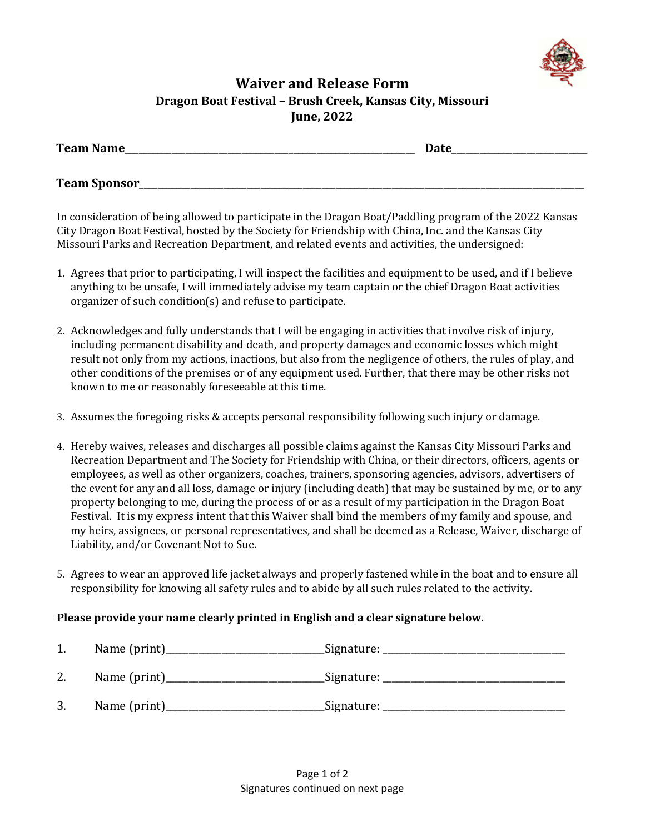

## **Waiver and Release Form Dragon Boat Festival – Brush Creek, Kansas City, Missouri June, 2022**

| <b>Team Name</b>     | <b>Date</b> |  |
|----------------------|-------------|--|
|                      |             |  |
| <b>Team Sponsor_</b> |             |  |

In consideration of being allowed to participate in the Dragon Boat/Paddling program of the 2022 Kansas City Dragon Boat Festival, hosted by the Society for Friendship with China, Inc. and the Kansas City Missouri Parks and Recreation Department, and related events and activities, the undersigned:

- 1. Agrees that prior to participating, I will inspect the facilities and equipment to be used, and if I believe anything to be unsafe, I will immediately advise my team captain or the chief Dragon Boat activities organizer of such condition(s) and refuse to participate.
- 2. Acknowledges and fully understands that I will be engaging in activities that involve risk of injury, including permanent disability and death, and property damages and economic losses which might result not only from my actions, inactions, but also from the negligence of others, the rules of play, and other conditions of the premises or of any equipment used. Further, that there may be other risks not known to me or reasonably foreseeable at this time.
- 3. Assumes the foregoing risks & accepts personal responsibility following such injury or damage.
- 4. Hereby waives, releases and discharges all possible claims against the Kansas City Missouri Parks and Recreation Department and The Society for Friendship with China, or their directors, officers, agents or employees, as well as other organizers, coaches, trainers, sponsoring agencies, advisors, advertisers of the event for any and all loss, damage or injury (including death) that may be sustained by me, or to any property belonging to me, during the process of or as a result of my participation in the Dragon Boat Festival. It is my express intent that this Waiver shall bind the members of my family and spouse, and my heirs, assignees, or personal representatives, and shall be deemed as a Release, Waiver, discharge of Liability, and/or Covenant Not to Sue.
- 5. Agrees to wear an approved life jacket always and properly fastened while in the boat and to ensure all responsibility for knowing all safety rules and to abide by all such rules related to the activity.

## **Please provide your name clearly printed in English and a clear signature below.**

| 1. | _Signature: _ |
|----|---------------|
| 2. | _Signature: _ |
| 3. | Signature:    |